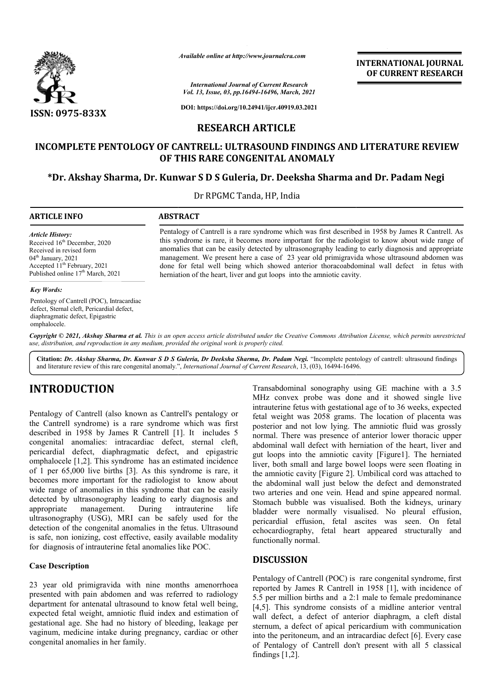

*Available online at http://www.journalcra.com*

*International Journal of Current Research Vol. 13, Issue, 03, pp.16494-16496, March, 2021*

**DOI: https://doi.org/10.24941/ijcr.40919.03.2021**

## **RESEARCH ARTICLE**

# **INCOMPLETE PENTOLOGY OF CANTRELL: ULTRASOUND FINDINGS AND LITERATURE REVIEW OF THIS RARE CONGENITAL ANOMALY**

# **\*Dr. Akshay Sharma, Dr. Kunwar S D S Guleria, Dr Dr. Dr. Deeksha Sharma and Dr. Padam Negi**

Dr RPGMC Tanda, HP, India

### **ARTICLE INFO ABSTRACT**

*Article History:* Received 16<sup>th</sup> December, 2020 Received in revised form  $04<sup>th</sup>$  January, 2021 Accepted 11<sup>th</sup> February, 2021 Published online 17<sup>th</sup> March, 2021

#### *Key Words:*

Pentology of Cantrell (POC), Intracardiac defect, Sternal cleft, Pericardial defect, diaphragmatic defect, Epigastric omphalocele.

this syndrome is rare, it becomes more important for the radiologist to know about wide range of anomalies that can be easily detected by ultrasonography leading to early diagnosis and appropriate management. We present here a case of 23 year old primigravida whose ultrasound abdomen was done for fetal well being which showed anterior thoracoabdominal wall defect in fetus with herniation of the heart, liver and gut loops into the amniotic cavity.

Pentalogy of Cantrell is a rare syndrome which was first described in 1958 by James R Cantrell. As this syndrome is rare, it becomes more important for the radiologist to know about wide range of

**INTERNATIONAL JOURNAL OF CURRENT RESEARCH**

Copyright © 2021, Akshay Sharma et al. This is an open access article distributed under the Creative Commons Attribution License, which permits unrestrictea *use, distribution, and reproduction in any medium, provided the original work is properly cited.*

Citation: Dr. Akshay Sharma, Dr. Kunwar S D S Guleria, Dr Deeksha Sharma, Dr. Padam Negi. "Incomplete pentology of cantrell: ultrasound findings and literature review of this rare congenital anomaly.", *International Journal of Current Research*, 13, (03), 16494-16496.

# **INTRODUCTION**

Pentalogy of Cantrell (also known as Cantrell's pentalogy or the Cantrell syndrome) is a rare syndrome which was first described in 1958 by James R Cantrell [1]. It includes 5 congenital anomalies: intracardiac defect, sternal cleft, pericardial defect, diaphragmatic defect, and epigastric omphalocele [1,2]. This syndrome has an estimated incidence of 1 per 65,000 live births [3]. As this syndrome is rare, it becomes more important for the radiologist to know about wide range of anomalies in this syndrome that can be easily detected by ultrasonography leading to early diagnosis and appropriate management. During intrauterine life appropriate management. During intrauterine life ultrasonography (USG), MRI can be safely used for the detection of the congenital anomalies in the fetus. Ultrasound is safe, non ionizing, cost effective, easily available modality for diagnosis of intrauterine fetal anomalies like POC. **EXEMPLE SET ASSES AND THE CONDUS CONDUS CONDUM CONDUM**<br>
IMEX convex probe was done and it show<br>
intradiction of the secantell synchrome) is a rare syndrome which was first<br>
intradiction feed with gestational age of to 36

## **Case Description**

23 year old primigravida with nine months amenorrhoea presented with pain abdomen and was referred to radiology department for antenatal ultrasound to know fetal well being, expected fetal weight, amniotic fluid index and estimation of gestational age. She had no history of bleeding, leakage per vaginum, medicine intake during pregnancy, cardiac or other congenital anomalies in her family.

MHz convex probe was done and it showed single live intrauterine fetus with gestational age of to 36 weeks, expected fetal weight was 2058 grams. The location of placenta was posterior and not low lying. The amniotic fluid was grossly normal. There was presence of anterior lower thoracic upper abdominal wall defect with herniation of the heart, liver and gut loops into the amniotic cavity [Figure1]. The herniated liver, both small and large bowel loops were seen floating in the amniotic cavity [Figure 2]. Umbilical cord was attached to the abdominal wall just below the defect and demonstrated two arteries and one vein. Head and spine appeared normal. Stomach bubble was visualised. Both the kidneys, urinary the abdominal wall just below the defect and demonstrated two arteries and one vein. Head and spine appeared normal.<br>Stomach bubble was visualised. Both the kidneys, urinary bladder were normally visualised. No pleural eff pericardial effusion, fetal ascites was seen. On fetal echocardiography, fetal heart appeared structurally and functionally normal. Transabdominal sonography using GE machine with a 3.5 MHz convex probe was done and it showed single live<br>intrauterine fetus with gestational age of to 36 weeks, expected<br>fetal weight was 2058 grams. The location of placenta was<br>posterior and not low lying. The amniotic fluid effusion, fetal ascites was seen. On fetal<br>graphy, fetal heart appeared structurally and<br>y normal.<br>**SION**<br>of Cantrell (POC) is rare congenital syndrome, first<br>y James R Cantrell in 1958 [1], with incidence of Cantrell don't classical

## **DISCUSSION**

Pentalogy of Cantrell (POC) is rare congenital syndrome, first reported by James R Cantrell in 1958 [1], with incidence of 5.5 per million births and a 2:1 male to female predominance [4,5]. This syndrome consists of a midline anterior ventral wall defect, a defect of anterior diaphragm, a cleft distal sternum, a defect of apical pericardium with communication into the peritoneum, and an intracardiac defect [6]. Every case of Pentalogy of Cantrell don't present with all 5 classical findings  $[1,2]$ . births and a 2:1 male to female predominance<br>drome consists of a midline anterior ventral<br>defect of anterior diaphragm, a cleft distal<br>ct of apical pericardium with communication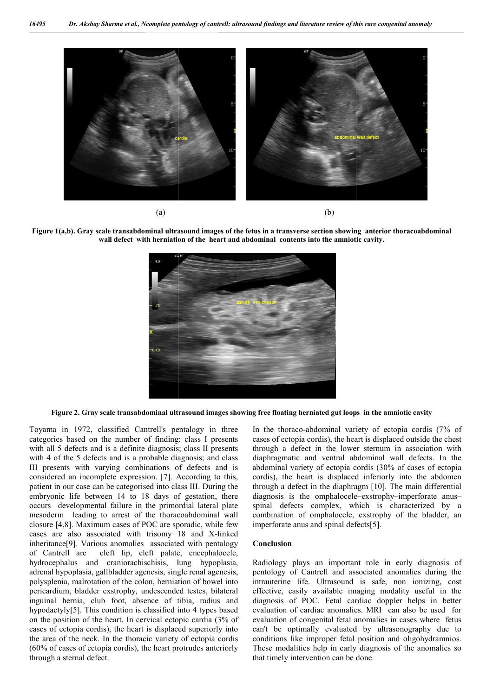





**Figure 2. Gray scale transabdominal ultrasound images showing free floating herniated gut loops in scale transabdominal the amniotic cavity**

Toyama in 1972, classified Cantrell's pentalogy in three categories based on the number of finding: class I presents with all 5 defects and is a definite diagnosis; class II presents with 4 of the 5 defects and is a probable diagnosis; and class III presents with varying combinations of defects and is considered an incomplete expression. [7]. According to this, patient in our case can be categorised into class III. During the embryonic life between 14 to 18 days of gestation, there occurs developmental failure in the primordial lateral plate mesoderm leading to arrest of the thoracoabdominal wall closure [4,8]. Maximum cases of POC are sporadic, while few cases are also associated with trisomy 18 and X X-linked inheritance[9]. Various anomalies associated with pentalogy of Cantrell are cleft lip, cleft palate, encephalocele, hydrocephalus and craniorachischisis, lung hypoplasia, adrenal hypoplasia, gallbladder agenesis, single renal agenesis, polysplenia, malrotation of the colon, herniation of bowel into pericardium, bladder exstrophy, undescended testes, bilateral inguinal hernia, club foot, absence of tibia, radius and hypodactyly[5]. This condition is classified into 4 types based on the position of the heart. In cervical ectopic cardia (3% of cases of ectopia cordis), the heart is displaced superiorly into the area of the neck. In the thoracic variety of ectopia cordis (60% of cases of ectopia cordis), the heart protrudes anteriorly through a sternal defect. 772, classified Cantrell's pentalogy in three In the thoraco-abdominal variety<br>
and on the number of finding: class I presents cases of ectopia cordis), the heart<br>
its and is a definite diagnosis; class II presents throug

cases of ectopia cordis), the heart is displaced outside the chest cases of ectopia cordis), the heart is displaced outside the chest through a defect in the lower sternum in association with diaphragmatic and ventral abdominal wall defects. In the diaphragmatic and ventral abdominal wall defects. In the abdominal variety of ectopia cordis (30% of cases of ectopia cordis), the heart is displaced inferiorly into the abdomen cordis), the heart is displaced inferiorly into the abdomen through a defect in the diaphragm [10]. The main differential diagnosis is the omphalocele-exstrophy-imperforate anusspinal defects complex, which is characterized by a spinal defects complex, which is characterized by a combination of omphalocele, exstrophy of the bladder, an imperforate anus and spinal defects[5]. In the thoraco-abdominal variety of ectopia cordis (7% of

### **Conclusion**

Radiology plays an important role in early diagnosis of pentology of Cantrell and associated anomalies during the pentology of Cantrell and associated anomalies during the intrauterine life. Ultrasound is safe, non ionizing, cost effective, easily available imaging modality useful in the effective, easily available imaging modality useful in the diagnosis of POC. Fetal cardiac doppler helps in better evaluation of cardiac anomalies. MRI can also be used for evaluation of congenital fetal anomalies in cases where fetus evaluation of congenital fetal anomalies in cases where fetus can't be optimally evaluated by ultrasonography due to conditions like improper fetal position and oligohydramnios. These modalities help in early diagnosis of the anomalies so that timely intervention can be done. conditions like improper fetal position and oligohydramnios.<br>These modalities help in early diagnosis of the anomalies so<br>that timely intervention can be done.